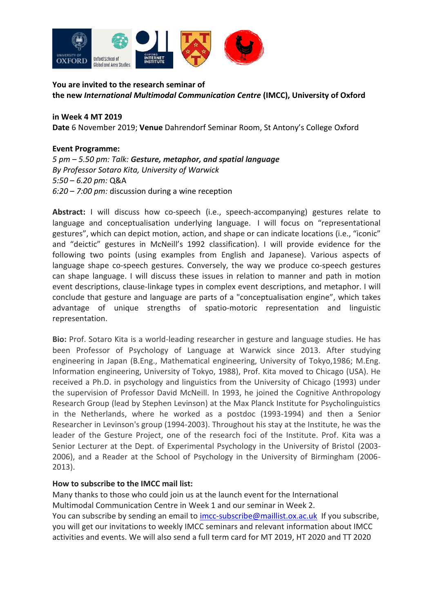

**You are invited to the research seminar of the new** *International Multimodal Communication Centre* **(IMCC), University of Oxford**

**in Week 4 MT 2019 Date** 6 November 2019; **Venue** Dahrendorf Seminar Room, St Antony's College Oxford

## **Event Programme:**

*5 pm – 5.50 pm: Talk: Gesture, metaphor, and spatial language By Professor Sotaro Kita, University of Warwick 5:50* – *6.20 pm:* Q&A *6:20* – *7:00 pm:* discussion during a wine reception

**Abstract:** I will discuss how co-speech (i.e., speech-accompanying) gestures relate to language and conceptualisation underlying language. I will focus on "representational gestures", which can depict motion, action, and shape or can indicate locations (i.e., "iconic" and "deictic" gestures in McNeill's 1992 classification). I will provide evidence for the following two points (using examples from English and Japanese). Various aspects of language shape co-speech gestures. Conversely, the way we produce co-speech gestures can shape language. I will discuss these issues in relation to manner and path in motion event descriptions, clause-linkage types in complex event descriptions, and metaphor. I will conclude that gesture and language are parts of a "conceptualisation engine", which takes advantage of unique strengths of spatio-motoric representation and linguistic representation.

**Bio:** Prof. Sotaro Kita is a world-leading researcher in gesture and language studies. He has been Professor of Psychology of Language at Warwick since 2013. After studying engineering in Japan (B.Eng., Mathematical engineering, University of Tokyo,1986; M.Eng. Information engineering, University of Tokyo, 1988), Prof. Kita moved to Chicago (USA). He received a Ph.D. in psychology and linguistics from the University of Chicago (1993) under the supervision of Professor David McNeill. In 1993, he joined the Cognitive Anthropology Research Group (lead by Stephen Levinson) at the Max Planck Institute for Psycholinguistics in the Netherlands, where he worked as a postdoc (1993-1994) and then a Senior Researcher in Levinson's group (1994-2003). Throughout his stay at the Institute, he was the leader of the Gesture Project, one of the research foci of the Institute. Prof. Kita was a Senior Lecturer at the Dept. of Experimental Psychology in the University of Bristol (2003- 2006), and a Reader at the School of Psychology in the University of Birmingham (2006- 2013).

## **How to subscribe to the IMCC mail list:**

Many thanks to those who could join us at the launch event for the International Multimodal Communication Centre in Week 1 and our seminar in Week 2. You can subscribe by sending an email to [imcc-subscribe@maillist.ox.ac.uk](mailto:imcc-subscribe@maillist.ox.ac.uk) If you subscribe, you will get our invitations to weekly IMCC seminars and relevant information about IMCC activities and events. We will also send a full term card for MT 2019, HT 2020 and TT 2020